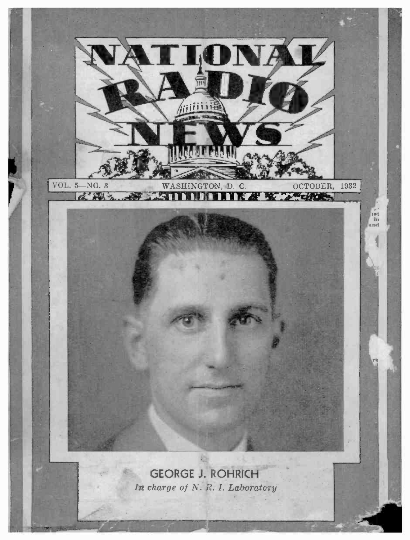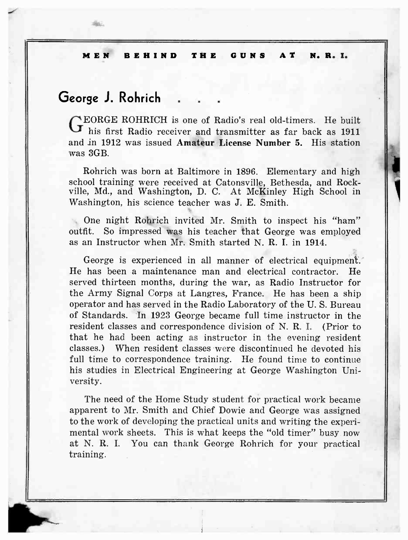## George J. Rohrich .

Go.

NEORGE ROHRICH is one of Radio's real old-timers. He built **J** his first Radio receiver and transmitter as far back as 1911 and in 1912 was issued Amateur License Number 5. His station was 3GB.

Rohrich was born at Baltimore in 1896. Elementary and high school training were received at Catonsville, Bethesda, and Rockville, Md., and Washington, D. C. At McKinley High School in Washington, his science teacher was J. E. Smith.

1

One night Rohrich invited Mr. Smith to inspect his "ham" outfit. So impressed was his teacher that George was employed as an Instructor when Mr. Smith started N. R. I. in 1914.

George is experienced in all manner of electrical equipment. He has been a maintenance man and electrical contractor. He served thirteen months, during the war, as Radio Instructor for the Army Signal Corps at Langres, France. He has been a ship operator and has served in the Radio Laboratory of the U. S. Bureau of Standards. In 1923 George became full time instructor in the resident classes and correspondence division of N. R. I. (Prior to that he had been acting as instructor in the evening resident classes.) When resident classes were discontinued he devoted his full time to correspondence training. He found time to continue his studies in Electrical Engineering at George Washington University.

The need of the Home Study student for practical work became apparent to Mr. Smith and Chief Dowie and George was assigned to the work of developing the practical units and writing the experimental work sheets. This is what keeps the "old timer" busy now at N. R. I. You can thank George Rohrich for your practical training.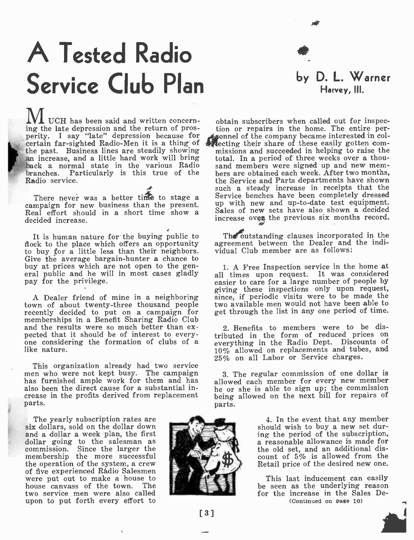# A Tested Radio Service Club Plan

UCH has been said and written concern- ing the late depression and the return of prosperity. I say "late" depression because for the past. Business lines are steadily showing<br>an increase, and a little hard work will bring ranches. Particularly is this true of the Radio service.

There never was a better time to stage a campaign for new business than the present. Real effort should in a short time show a decided increase.

It is human nature for the buying public to flock to the place which offers an opportunity to buy for a little less than their neighbors. Give the average bargain-hunter a chance to<br>buy at prices which are not open to the general public and he will in most cases gladly pay for the privilege.

A Dealer friend of mine in a neighboring recently decided to put on a campaign for memberships in a Benefit Sharing Radio Club and the results were so much better than ex-<br>pected that it should be of interest to every-<br>one considering the formation of clubs of a<br>like nature.

This organization already had two service men who were not kept busy. The campaign has furnished ample work for them and has also been the direct cause for a substantial increase in the profits derived from replacement parts.

The yearly subscription rates are six dollars, sold on the dollar down and a dollar a week plan, the first dollar going to the salesman as commission. Since the larger the membership the more successful the operation of the system, a crew<br>of five experienced Rádio Salesmen were put out to make a house to house canvass of the town. The two service men were also called upon to put forth every effort to



by D. L. Warner Harvey, III.

certain far-sighted Radio-Men it is a thing of  $\frac{1}{2}$  recting their share of these easily gotten com-<br>the past. Business lines are steadily showing missions and succeeded in helping to raise the hack a normal state in the various Radio sand members were signed up and new membranches. Particularly is this true of the bers are obtained each week. After two months, obtain subscribers when called out for inspec- tion or repairs in the home. The entire personnel of the company became interested in collecting their share of these easily gotten com- missions and succeeded in helping to raise the total. In a period of three weeks over a thousand members were signed up and new memthe Service and Parts departments have shown such a steady increase in receipts that the Service benches have been completely dressed up with new and up -to -date test equipment. Sales of new sets have also shown a decided increase oven the previous six months record.

> The outstanding clauses incorporated in the agreement between the Dealer and the individual Club member are as follows:

> 1. A Free Inspection service in the home at all times upon request. It was considered easier to care for a large number of people by giving these inspections only upon request, since, if periodic visits were to be made the two available men would not have been able to get through the list in any one period of time.

2. Benefits to members were to be distributed in the form of reduced prices on everything in the Radio Dept. Discounts of everything in the Radio Dept. Discounts of 10% allowed on replacements and tubes, and 25% on all Labor or Service charges.

3. The regular commission of one dollar is allowed each member for every new member he or she is able to sign up; the commission being allowed on the next bill for repairs of parts.

> 4. In the event that any member should wish to buy a new set during the period of the subscription, a reasonable allowance is made for the old set, and an additional discount of 5% is allowed from the Retail price of the desired new one.

> This last inducement can easily be seen as the underlying reason for the increase in the Sales De- (Continued on page 10)



[3]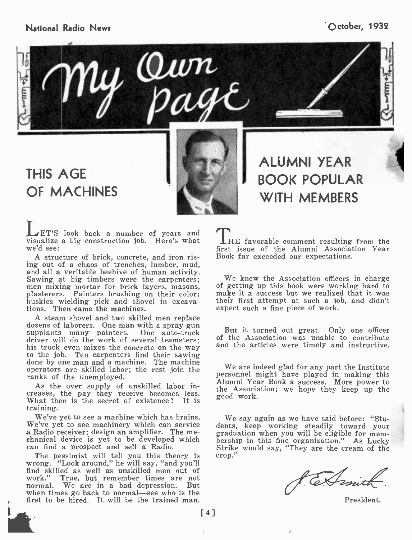### National Radio News **October, 1932**



y Qwn

## THIS AGE OF MACHINES

LET'S look back a number of years and visualize a big construction job. Here's what we'd see:

A structure of brick, concrete, and iron rising out of a chaos of trenches, lumber, mud, Sawing at big timbers were the carpenters; men mixing mortar for brick layers, masons, plasterers. Painters brushing on their color; huskies wielding pick and shovel in excavations. Then came the machines.

<sup>A</sup>steam shovel and two skilled men replace dozens of laborers. One man with a spray gun supplants many painters. One auto -truck driver will do the work of several teamsters; his truck even mixes the concrete on the way to the job. Ten carpenters find their sawing done by one man and a machine. The machine operators are skilled labor; the rest join the ranks of the unemployed.

As the over supply of unskilled labor increases, the pay they receive becomes less. What then is the secret of existence? It is training.

We've yet to see a machine which has brains. We say again as we have said before: "Stu-<br>We've yet to see machinery which can service dents, keep working steadily toward your a Radio receiver; design an amplifier. The me-<br>chanical device is yet to be developed which<br>can find a prospect and sell a Radio.

The pessimist will tell you this theory is wrong. "Look around," he will say, "and you'll<br>find skilled as well as unskilled men out of<br>work." True, but remember times are not True, but remember times are not normal. We are in a bad depression. But when times go back to normal—see who is the first to be hired. It will be the trained man.

BOOK POPULAR WITH MEMBERS

ALUMNI YEAR

**THE favorable comment resulting from the** first issue of the Alumni Association Year Book far exceeded our expectations.

We knew the Association officers in charge of getting up this book were working hard to make it a success but we realized that it was their first attempt at such a job, and didn't expect such a fine piece of work.

But it turned out great. Only one officer of the Association was unable to contribute and the articles were timely and instructive.

We are indeed glad for any part the Institute personnel might have played in making this Alumni Year Book a success. More power to the Association; we hope they keep up the good work.

We say again as we have said before: "Stugraduation when you will be eligible for mem-<br>bership in this fine organization." As Lucky<br>Strike would say, "They are the cream of the crop."

Conit

President.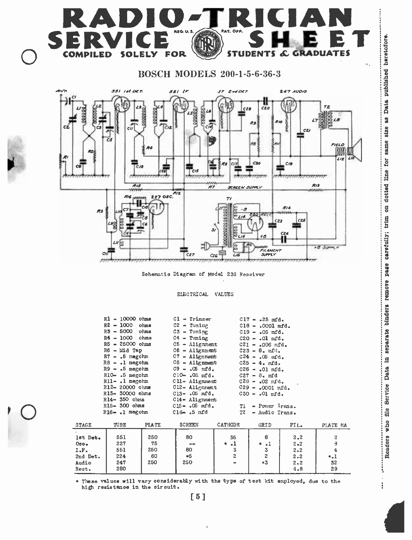

### BOSCH MODELS 200-1-5-6-36-3



Schematic Diagram of Model 236 Receiver

ELECTRICAL VALUES

|                             | $R1 - 10000$ ohms<br>R2 - 1000<br>R3 - 5000<br>$R4 - 1000$ ohms<br>$R5 - 25000$ ohms<br>R6 - Mid Tap<br>$R7 - .5$ megohm<br>$R8 - 1$ megohm<br>$R9 - .5$ megohm<br>R10- .5 megohm<br>$R11 - .1$ megohm<br>R12-20000 ohms<br>R13- 30000 ohms<br>$R14 - 350$ ohms<br>R15- 300 ohms<br>$R16 - 1$ megohm | ohms<br>ohms     | $C1 - Trimmer$<br>$C2 - T$ uning<br>$C3$ - Tuning<br>$C4 - Tuning$<br>$C5 -$ Alignment<br>$C6 -$ Alignment<br>$C7 -$ Alignment<br>$C8 -$ Alignment<br>$C9 - .05$ mfd.<br>$C10 - .05$ mfd.<br>$C11 -$ Alignment<br>C12- Alignment<br>$C13 - .05$ mfd.<br>Cl4- Alignment<br>$C15 - .05$ mfd.<br>$C16$ .5 mfd | T1<br>T <sub>2</sub>         | $C17 - .25$ mfd.<br>$C18 - .0001$ mfd.<br>$C19 - .05$ mfd.<br>$C20 - .01$ mfd.<br>$C21 - .006$ mfd.<br>$C23 - 8$ , mfd.<br>$C24 - .05$ mfd.<br>$C25 - 4. mfd.$<br>$C26 - .01$ mfd.<br>$C27 - 8.$ mfd<br>$C28 - .02$ mfd.<br>$C29 - .0001$ mfd.<br>$C30 - .01$ mfd.<br>- Power Irans.<br>- Audio Trans. |                           |                                 |  |
|-----------------------------|------------------------------------------------------------------------------------------------------------------------------------------------------------------------------------------------------------------------------------------------------------------------------------------------------|------------------|------------------------------------------------------------------------------------------------------------------------------------------------------------------------------------------------------------------------------------------------------------------------------------------------------------|------------------------------|--------------------------------------------------------------------------------------------------------------------------------------------------------------------------------------------------------------------------------------------------------------------------------------------------------|---------------------------|---------------------------------|--|
| STAGE                       | TUBE                                                                                                                                                                                                                                                                                                 | <b>PLATE</b>     | <b>SCREEN</b>                                                                                                                                                                                                                                                                                              | CATHODE                      | GRID                                                                                                                                                                                                                                                                                                   | FIL.                      | PLATE MA                        |  |
| lst Det.<br>$0$ sc.<br>I.F. | 551<br>227<br>551                                                                                                                                                                                                                                                                                    | 250<br>75<br>250 | 80<br>$-$<br>80                                                                                                                                                                                                                                                                                            | 35<br>$\cdot$<br>$\ast$<br>3 | 8<br>$\cdot$ 1<br>¢.<br>3                                                                                                                                                                                                                                                                              | 2.2<br>$2 - 2$<br>$2 - 2$ | 2<br>$\theta$<br>$\overline{4}$ |  |
| 2nd Det.                    | 224                                                                                                                                                                                                                                                                                                  | 60               | $*5$                                                                                                                                                                                                                                                                                                       | $\overline{c}$               | $\overline{c}$                                                                                                                                                                                                                                                                                         | $2 - 2$                   | $^{\ast}.1$                     |  |

l,  $\ddot{\cdot}$ 

Reot. | 280 | | | | | | | | | 4.8 | 29 These values will vary oonsiderably with the type of test kit employed, due to the high resistanoe in the oirouit.

Audio | 247 | 250 | 250 | | \*3 | 2.2 | 32

[5]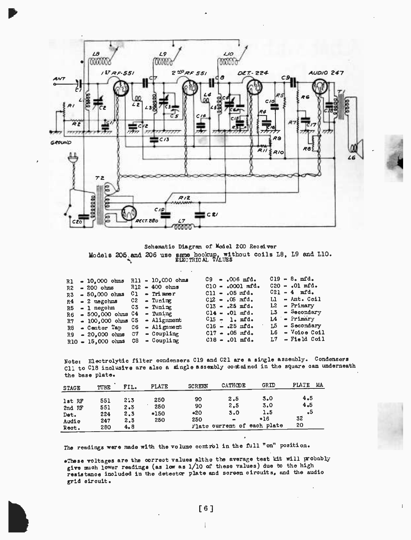

Schematic Diagram of Model 200 Receiver Models 205 and 206 use same hookup, without coils L8, L9 and L10.

|                                                                                                                                                          |                                         |                                                                                                                                                                                                             |  |                                                                                                                                                                                                                    | $C19 - 8.$ mfd.   |
|----------------------------------------------------------------------------------------------------------------------------------------------------------|-----------------------------------------|-------------------------------------------------------------------------------------------------------------------------------------------------------------------------------------------------------------|--|--------------------------------------------------------------------------------------------------------------------------------------------------------------------------------------------------------------------|-------------------|
|                                                                                                                                                          |                                         |                                                                                                                                                                                                             |  |                                                                                                                                                                                                                    | $C20 - .01$ mfd.  |
|                                                                                                                                                          |                                         |                                                                                                                                                                                                             |  |                                                                                                                                                                                                                    | $C21 - 4$ mfd.    |
|                                                                                                                                                          |                                         |                                                                                                                                                                                                             |  |                                                                                                                                                                                                                    | $L1 - Ant. Col1$  |
|                                                                                                                                                          |                                         |                                                                                                                                                                                                             |  |                                                                                                                                                                                                                    | $L2 - Primary$    |
|                                                                                                                                                          |                                         |                                                                                                                                                                                                             |  |                                                                                                                                                                                                                    | $L3 =$ Secondary  |
|                                                                                                                                                          |                                         |                                                                                                                                                                                                             |  |                                                                                                                                                                                                                    | 14 - Primary      |
|                                                                                                                                                          |                                         |                                                                                                                                                                                                             |  |                                                                                                                                                                                                                    | 15 - Secondary    |
|                                                                                                                                                          |                                         |                                                                                                                                                                                                             |  |                                                                                                                                                                                                                    | L6 - Voice Coil   |
|                                                                                                                                                          |                                         |                                                                                                                                                                                                             |  |                                                                                                                                                                                                                    | $L7 -$ Field Coil |
| $R1 - 10.000 \text{ ohms}$<br>$R2 - 200$ ohms<br>$R3 = 50,000$ ohms<br>$R7 - 100,000$ ohms<br>R8 - Center Tap<br>R9 - 20.000 ohms<br>$R10 - 15,000$ ohms | $R4 - 2$ megohms<br>$R6 = 500,000$ ohms | $R11 - 10,000$ ohms<br>$R12 - 400$ ohms<br>$C1 - Trimner$<br>$C2 - T$ uning<br>$R5 = 1$ megohm $C3 =$ Tuning<br>$C4$ - Tuning<br>$C5$ - Alignment<br>$C6 -$ Alignment<br>$C7 - Coupling$<br>$C8 - Coupling$ |  | $C9 - .006$ mfd.<br>$C10 - .0001$ mfd.<br>$C11 - .05$ mfd.<br>$C12 - .05$ mfd.<br>$C13 - .25$ mfd.<br>$C14 - .01$ mfd.<br>$C15 - 1.$ mfd.<br>$C16 - .25$ mfd.<br>$C17 - .05$ mfd.<br>$C18 - .01$ m <sup>2</sup> d. |                   |

Note: Electrolytic filter condensers C19 and C21 are a single assembly. Condensers Cll to C18 inclusive are also a single assembly contained in the square can underneath the base plate.

| <b>STAGE</b>                               | TUBE                            | FIL.                                | <b>PLATE</b>                | <b>SCREEN</b>            | CATHODE                             | GRID                                                      | PLATE<br>MA.                 |
|--------------------------------------------|---------------------------------|-------------------------------------|-----------------------------|--------------------------|-------------------------------------|-----------------------------------------------------------|------------------------------|
| lst RF<br>2nd RF<br>Det.<br>Audio<br>Rect. | 551<br>551<br>224<br>247<br>280 | 2:3<br>$2 - 3$<br>2.3<br>2.3<br>4.8 | 250<br>250<br>$*150$<br>250 | 90<br>90<br>$*20$<br>250 | 2.5<br>2.5<br>3.0<br>$\blacksquare$ | 5.0<br>3.0<br>1.5<br>$*16$<br>Plate ourrent of each plate | 4.5<br>4.5<br>٠5<br>32<br>20 |

The readings were made with the volume control in the full "on" position.

\*These voltages are the correct values altho the average test kit will probably give much lower readings (as low as 1/10 of these values) due to the high resistance included in the detector plate and screen circuits, and the audio grid circuit.

 $\mathbf{l}$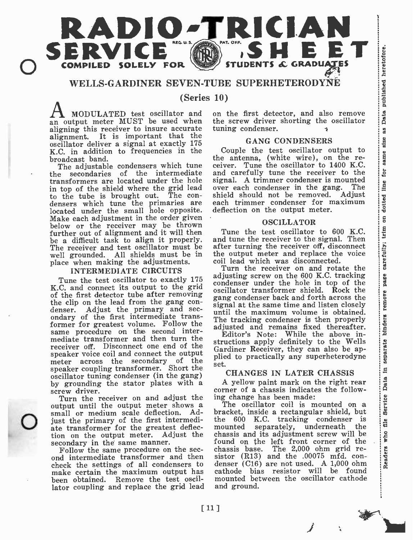

#### WELLS-GARDINER SEVEN-TUBE SUPERHETERODYNE

(Series 10)

an output meter MUST be used when aligning this receiver to insure accurate alignment. It is important that the oscillator deliver a signal at exactly 175 K.C. in addition to frequencies in the broadcast band.

The adjustable condensers which tune<br>the secondaries of the intermediate secondaries of the intermediate transformers are located under the hole in top of the shield where the grid lead<br>to the tube is brought out. The condensers which tune the primaries are located under the small hole opposite. Make each adjustment in the order given below or the receiver may be thrown further out of alignment and it will then be a difficult task to align it properly. The receiver and test oscillator must be well grounded. All shields must be in place when making the adjustments.

#### INTERMEDIATE CIRCUITS

K.C. and connect its output to the grid of the first detector tube after removing<br>the clip on the lead from the gang condenser. Adjust the primary and secondary of the first intermediate trans-<br>former for greatest volume. Follow the former for greatest volume. Follow the same procedure on the second intermediate transformer and then turn the  $\frac{r}{\text{strn}}$ receiver off. Disconnect one end of the speaker voice coil and connect the output meter across the secondary of the speaker coupling transformer. Short the oscillator tuning condenser (in the gang) by grounding the stator plates with a screw driver.

Small or mealum scale delection. Ad-<br>just the primary of the first intermedi-<br>ate transformer for the greatest deflec-Turn the receiver on and adjust the output until the output meter shows a The oscillator coil is mounted on a small or medium scale deflection. Ad- bracket, inside a rectangular shield, but small or medium scale deflection. Adate transformer for the greatest deflection on the output meter. Adjust the secondary in the same manner.<br>Follow the same procedure on the sec-

check the settings of all condensers to make certain the maximum output has been obtained. Remove the test oscillator coupling and replace the grid lead

MODULATED test oscillator and on the first detector, and also remove the screw driver shorting the oscillator  $\begin{bmatrix} 8 \\ 4 \end{bmatrix}$  removes the screw driver. tuning condenser.

#### GANG CONDENSERS

GANG CONDENSERS<br>
Couple the test oscillator output to<br>
e antenna, (white wire), on the re-<br>
iver Tupe the oscillator to 1400 K C. the antenna, (white wire), on the receiver. Tune the oscillator to 1400 K.C.  $\frac{18}{5}$  and carefully tune the receiver to the and carefully tune the receiver to the signal. A trimmer condenser is mounted<br>over each condenser in the gang. The<br>shield should not be removed. Adjust<br>each trimmer condenser for maximum<br>deflection on the output meter. over each condenser in the gang. The<br>shield should not be removed. Adjust shield should not be removed. each trimmer condenser for maximum deflection on the output meter.

#### OSCILLATOR

Tune the test oscillator to 600 K.C.<br>
In the test oscillator to 600 K.C.<br>
d tune the receiver of the signal. Then<br>
ter turning the receiver off, disconnect<br>
e output meter and replace the voice<br>
il lead which was disconnec and tune the receiver to the signal. Then after turning the receiver off, disconnect the output meter and replace the voice coil lead which was disconnected.

Tune the test oscillator to exactly 175 adjusting screw on the out A.C. tracking Turn the receiver on and rotate the adjusting screw on the  $600$  K.C. tracking oscillator transformer shield. Rock the<br>gang condenser back and forth across the<br>signal at the same time and listen closely<br>until the maximum volume is obtained.<br>The tracking condenser is then properly<br>adjusted and remains gang condenser back and forth across the<br>signal at the same time and listen closely until the maximum volume is obtained.<br>The tracking condenser is then properly adjusted and remains fixed thereafter.

Editor's Note: While the above instructions apply definitely to the Wells Gardiner Receiver, they can also be applied to practically any superheterodyne set.

#### CHANGES IN LATER CHASSIS

A yellow paint mark on the right rear<br>mer of a chassis indicates the followcorner of a chassis indicates the following change has been made:

Follow the same procedure on the sec-<br>ond intermediate transformer and then sistor (R13) and the .00075 mfd. con-<br>check the settings of all condensers to denser (C16) are not used. A 1,000 ohm g change has been made:<br>The oscillator coil is mounted on a acket, inside a rectangular shield, but<br>acket, inside a rectangular shield, but<br>nuclear is a but a senarately underneath the discussion the 600 K.C. tracking condenser is mounted separately, underneath the  $\frac{1}{2}$  chassis and its adjustment screw will be  $\frac{1}{2}$  found on the left front corner of the chassis and its adjustment screw will be found on the left front corner of the<br>chassis base. The 2,000 ohm grid resistor (R13) and the .00075 mfd. con-<br>denser (C16) are not used. A 1,000 ohm The 2,000 ohm grid resistor  $(R13)$  and the .00075 mfd. concathode bias resistor will be found mounted between the oscillator cathode and ground.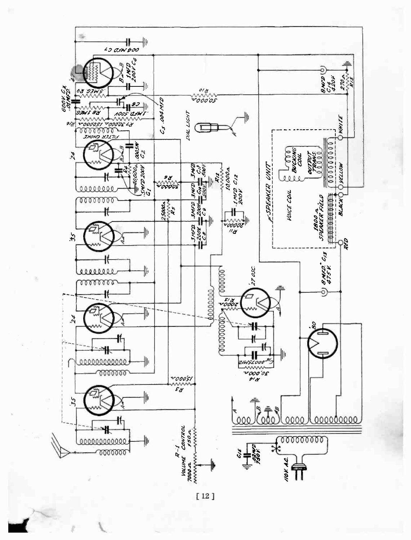

 $[12]$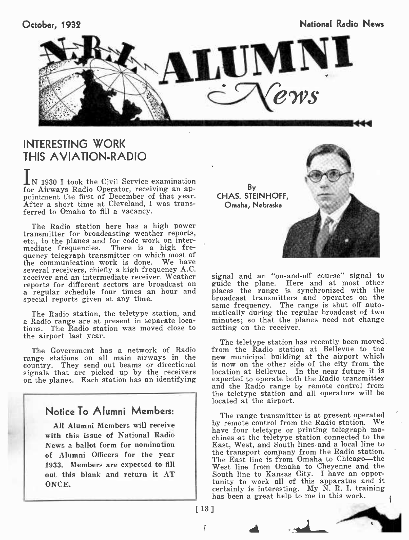October, 1932 National Radio News Network in the News National Radio News Network in the News News Network in the News Network of the News Network in the News Network of the News Network of the News Network in the News Net



## INTERESTING WORK **THIS AVIATION-RADIO**

IN 1930 I took the Civil Service examination for Airways Radio Operator, receiving an appointment the first of December of that year. After a short time at Cleveland, I was transferred to Omaha to fill a vacancy.

The Radio station here has a high power transmitter for broadcasting weather reports, etc., to the planes and for code work on intermediate frequencies. There is a high frequency telegraph transmitter on which most of the communication work is done. We have several receivers, chiefly a high frequency A.C. receiver and an intermediate receiver. Weather reports for different sectors are broadcast on a guide the plane. Here and at most other<br>a regular schedule four times an hour and places the range is synchronized with the<br>special reports given at any time. special reports given at any time.

The Radio station, the teletype station, and a Radio range are at present in separate locations. The Radio station was moved close to setting on the receiver. the airport last year.

range stations on all main airways in the country. They send out beams or directional signals that are picked up by the receivers on the planes. Each station has an identifying



By CHAS. STEINHOFF, Omaha, Nebraska



signal and an "on-and-off course" signal to guide the plane. Here and at most other places the range is synchronized with the broadcast transmitters and operates on the same frequency. The range is shut off auto-matically during the regular broadcast of two minutes; so that the planes need not change

The Government has a network of Radio from the Radio station at Bellevue to the The teletype station has recently been moved. from the Radio station at Bellevue to the new municipal building at the airport which is now on the other side of the city from the location at Bellevue. In the near future it is expected to operate both the Radio transmitter and the Radio range by remote control from the teletype station and all operators will be located at the airport.

> The range transmitter is at present operated by remote control from the Radio station. We. have four teletype or printing telegraph machines -at the teletype station connected to the East, West, and South lines and a local line to the transport company from the Radio station. The East line is from Omaha to Chicago-the West line from Omaha to Cheyenne and the South line to Kansas City. I have an opportunity to work all of this apparatus and it certainly is interesting. My  $\tilde{N}$ . R. I. training has been a great help to me in this work.

[13]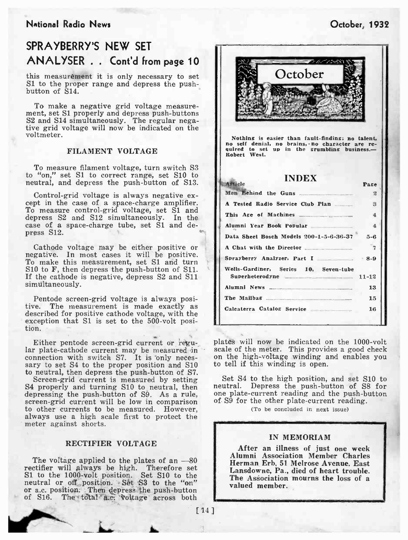#### National Radio News October, 1932

## SPRAYBERRY'S NEW SET ANALYSER . . Cont'd from page 10

this measurement it is only necessary to set S1 to the proper range and depress the push- button of S14.

To make a negative grid voltage measurement, set SI properly and depress push -buttons S2 and S14 simultaneously. The regular nega- tive grid voltage will now be indicated on the voltmeter.

#### FILAMENT VOLTAGE

To measure filament voltage, turn switch S3 to "on," set S1 to correct range, set S10 to neutral, and depress the push-button of S13.

Control-grid voltage is always negative ex-<br>cept in the case of a space-charge amplifier.<br>To measure control-grid voltage, set S1 and depress S2 and S12 simultaneously. In the case of a space- charge tube, set S1 and depress S12.

Cathode voltage may be either positive or negative. In most cases it will be positive. To make this measurement, set S1 and turn S10 to F, then depress the push-button of S11. If the cathode is negative, depress S2 and S11 simultaneously.

Pentode screen -grid voltage is always posi- tive. The measurement is made exactly as described for positive cathode voltage, with the exception that S1 is set to the 500-volt position.

Either pentode screen-grid current or regu-<br>lar plates will now be indicated on the 1000-volt<br>lar plate-cathode current may be measured in scale of the meter. This provides a good check<br>connection with switch  $S_7$ . It is connection with switch S7. It is 'only neces- sary to set S4 to the proper position and S10 to neutral, then depress the push-button of S7.

Screen -grid current is measured by setting S4 properly and turning S10 to neutral, then least neutral. Depress the push-button of S8 for depressing the push-button of S9 As a rule, one plate-current reading and the push-button depressing the push-button of S9. As a rule, screen-grid current will be low in comparison to other currents to be measured. However, always use a high scale first to protect the meter against shorts.

#### RECTIFIER VOLTAGE

The voltage applied to the plates of an  $-80$ rectifier will always be high. Therefore set S1 to the 1000-volt position. Set S10 to the neutral or off position. Set S3 to the "on" or a.c. position. Then depress the push-button of S16. The total a.c. voltage across both [14]



Nothing is easier than fault-finding; no talent, no self denial, no brains, no character are re-<br>quired to set up in the grumbling business. -<br>Robert West.

#### INDEX Ai'tlele Page Men Behind the Guns  $\overline{2}$ A Tested Radio Service Club Plan 3 This Age of Machines 4 Alumni Year Book Popular 4 Data Sheet Bosch Models 200-1-5-6-36-37 5-6 A Chat with the Director 2 Sprayberry Analyzer, Part I .\_\_\_\_\_\_ 8-9 Wells-Gardiner, Series 10, Seven-tube<br>Superheterodyne Superheterodyne Alumni News \_\_\_\_ \_\_ " 13 The Mailbag \_ 15 Calcaterra Catalog Service 16

plates will now be indicated on the 1000-volt scale of the meter. This provides a good check to tell if this winding is open.

Set S4 to the high position, and set S10 to neutral. Depress the push-button of S8 for of S9 for the other plate-current reading.

(To be concluded in next issue)

7

#### IN MEMORIAM

After an illness of just one week Alumni Association Member Charles Herman Erb, 51 Melrose Avenue, East Lansdowne, Pa., died of heart trouble. The Association mourns the loss of a valued member.

 $[14]$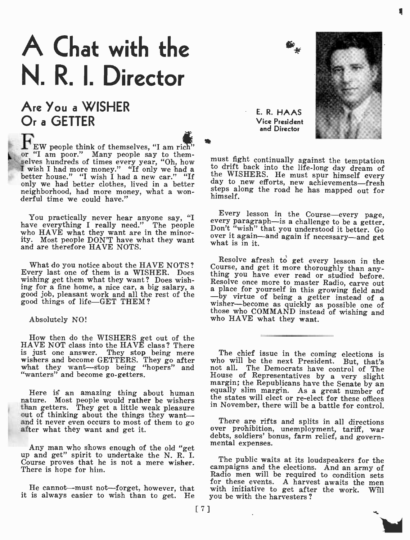# A Chat with the N. R. I. Director

## Are You a WISHER Or a GETTER

**FEW** people think of themselves, "I am rich" or "I am poor." Many people say to them-<br>selves hundreds of times every year, "Oh, how I wish I had more money." "If only we had a better house." "I wish I had a new car." "If  $\frac{dt}{dt}$ only we had better clothes, lived in a better  $\frac{ds}{dt}$ neighborhood, had more money, what a won- derful time we could have."

have everything I really need." The people who HAVE what they want are in the minorwho HAVE what they want are in the minor-<br>ity. Most people DON'T have what they want what is in it. and are therefore HAVE NOTS.

What do you notice about the HAVE NOTS? Course, and get it more thoroughly than any<br>Every last one of them is a WISHER. Does thing you have ever read or studied before wishing get them what they want? Does wishwishing get them what they want? Does wish-<br>ing for a fine home, a nice car, a big salary, a<br>good job, pleasant work and all the rest of the  $\frac{1}{2}$  by virtue of being a getter instead of a<br>by virtue of being a getter i good things of life-GET THEM?

#### Absolutely NO!

How then do the WISHERS get out of the HAVE NOT class into the HAVE class? There is just one answer. They stop being mere wishers and become GETTERS. They go after what they want-stop being "hopers" and n "wanters" and become go-getters.

nature. Most people would rather be wishers than getters. They get a little weak pleasure out of thinking about the things they want and it never even occurs to most of them to go after what they want and get it.

Any man who shows enough of the old "get up and get" spirit to undertake the N. R. I. Course proves that he is not a mere wisher. There is hope for him.

it is always easier to wish than to get. He

E. R. HAAS Vice President and Director

must fight continually against the temptation to drift back into the life -long day dream of the WISHERS. He must spur himself every day to new efforts, new achievements -fresh steps along the road he has mapped out for himself.

You practically never hear anyone say, "I were resson in the Course—every page,<br>we consult in I welly need." The people every paragraph—is a challenge to be a getter. Every lesson in the Course—every page, every paragraph—is a challenge to be a getter.<br>Don't "wish" that you understood it better. Go

> Resolve afresh to get every lesson in the Course, and get it more thoroughly than any-<br>thing you have ever read or studied before. wisher—become as quickly as possible one of those who COMMAND instead of wishing and who HAVE what they want.

Here is an amazing thing about human equally slim margin. As a great number of these offices The chief issue in the coming elections is who will be the next President. But, that's not all. The Democrats have control of The<br>House of Representatives by a very slight margin; the Republicans have the Senate by an in November, there will be a battle for control.

There are rifts and splits in all directions over prohibition, unemployment, tariff, war debts, soldiers' bonus, farm relief, and govern-

Radio men will be required to condition sets<br>
for these events. A harvest awaits the men<br>
He cannot—must not—forget, however, that with initiative to get after the work. Will The public waits at its loudspeakers for the campaigns and the elections. And an army of for these events. A harvest awaits the men with initiative to get after the work. Will you be with the harvesters ?

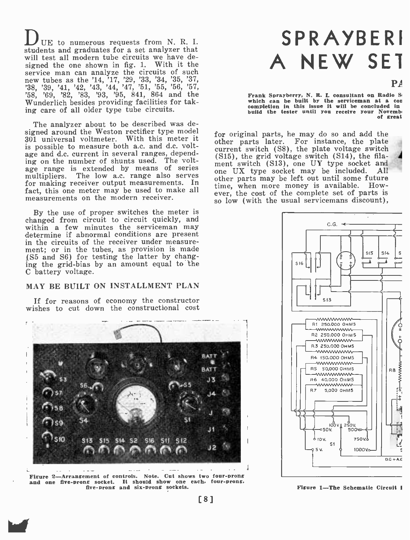DUE to numerous requests from N. R. I. students and graduates for a set analyzer that will test all modern tube circuits we have designed the one shown in fig. 1. With it the service man can analyze the circuits of such<br>new tubes as the '14, '17, '29, '33, '34, '35, '37,<br>'38, '39, '41, '42, '43, '44, '47, '51, '55, '56, '57,<br>'58, '69, '82, '83, '93, '95, 841, 864 and the Wunderlich besides providing facilities for taking care of all older type tube circuits.

The analyzer about to be described was designed around the Weston rectifier type model 301 universal voltmeter. With this meter it is possible to measure both a.c. and d.c. voltage and d.c. current in several ranges, depending on the number of shunts used. The voltage range is extended by means of series one UX type socket may be included. multipliers. The low a.c. range also serves for making receiver output measurements. In fact, this one meter may be used to make all measurements on the modern receiver.

By the use of proper switches the meter is changed from circuit to circuit quickly, and within a few minutes the serviceman may determine if abnormal conditions are present in the circuits of the receiver under measurement; or in the tubes, as provision is made (S5 and S6) for testing the latter by changing the grid -bias by an amount equal to the C battery voltage.

#### MAY BE BUILT ON INSTALLMENT PLAN

If for reasons of economy the constructor wishes to cut down the constructional cost



Figure 2-Arrangement of controls. Note. Cut shows two four-prong and one five-prong socket. It should show one each, four-prong, five -prong and six -prong sockets.

Ike

## SPRAYBERI A NEW SET

 $\mathbf{P}$ 

Frank Sprayberry, N. R. I. consultant on Radio S which can be built by the serviceman at a con completion in this issue it will be concluded in build the tester until you receive your November of great

for original parts, he may do so and add the other parts later. For instance, the plate<br>current switch (S8), the plate voltage switch  $(S15)$ , the grid voltage switch  $(S14)$ , the filament switch (S13), one UY type socket and one UX type socket and one UX type socket may be included. All other parts may be left out until some future time, when more money is available. However, the cost of the complete set of parts is so low (with the usual servicemans discount),



Figure 1-The Schematic Circuit I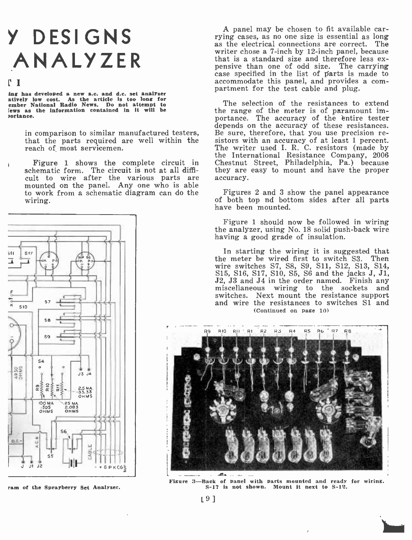## <sup>Y</sup>DESIGNS ANALYZER

#### r T

ing has developed a new a.c. and d.c. set analyzer<br>atively low cost. As the article is too long for<br>ember National Radio News. Do not attempt to lews as the information contained in it will be ortance.

in comparison to similar manufactured testers, Bothat the parts required are well within the si<br>reach of most servicemen.

Figure 1 shows the complete circuit in schematic form. The circuit is not at all difficult to wire after the various parts are mounted on the panel. Any one who is able to work from a schematic diagram can do the wiring.



ram of the Sprayberry Set Analyzer.

A panel may be chosen to fit available carrying cases, as no one size is essential as long as the electrical connections are correct. The writer chose a 7 -inch by 12 -inch panel, because that is a standard size and therefore less ex- pensive than one of odd size. The carrying case specified in the list of parts is made to accommodate this panel, and provides a com- partment for the test cable and plug.

The selection of the resistances to extend the range of the meter is of paramount importance. The accuracy of the èntire tester depends on the accuracy of these resistances. Be sure, therefore, that you use precision resistors with an accuracy of at least 1 percent. The writer used I. R. C. resistors (made by the International Resistance Company, <sup>2006</sup> Chestnut Street, Philadelphia, Pa.) because they are easy to mount and have the proper accuracy.

Figures 2 and 3 show the panel appearance of both top nd bottom sides after all parts have been mounted.

Figure 1 should now be followed in wiring the analyzer, using No. 18 solid push -back wire having a good grade of insulation.

In starting the wiring it is suggested that the meter be wired first to switch S3. Then wire switches S7, S8, S9, Sll, S12, S13, S14, S15, S16, S17, S10, S5, S6 and the jacks J, J1, J2, J3 and J4 in the order named. Finish any miscellaneous wiring to the sockets and switches. Next mount the resistance support and wire the resistances to switches Si and (Continued on page 10)



Figure 3-Back of panel with parts mounted and ready for wiring.<br>S-17 is not shown. Mount it next to S-12.